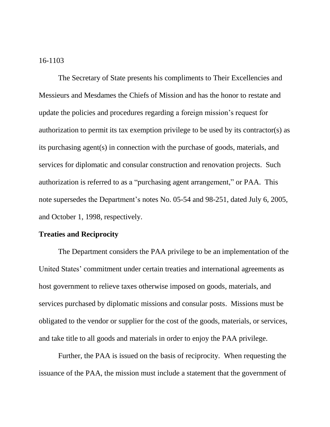## 16-1103

The Secretary of State presents his compliments to Their Excellencies and Messieurs and Mesdames the Chiefs of Mission and has the honor to restate and update the policies and procedures regarding a foreign mission's request for authorization to permit its tax exemption privilege to be used by its contractor(s) as its purchasing agent(s) in connection with the purchase of goods, materials, and services for diplomatic and consular construction and renovation projects. Such authorization is referred to as a "purchasing agent arrangement," or PAA. This note supersedes the Department's notes No. 05-54 and 98-251, dated July 6, 2005, and October 1, 1998, respectively.

## **Treaties and Reciprocity**

The Department considers the PAA privilege to be an implementation of the United States' commitment under certain treaties and international agreements as host government to relieve taxes otherwise imposed on goods, materials, and services purchased by diplomatic missions and consular posts. Missions must be obligated to the vendor or supplier for the cost of the goods, materials, or services, and take title to all goods and materials in order to enjoy the PAA privilege.

Further, the PAA is issued on the basis of reciprocity. When requesting the issuance of the PAA, the mission must include a statement that the government of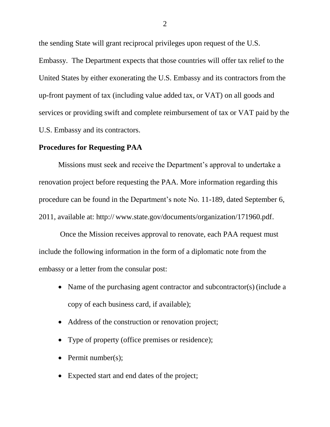the sending State will grant reciprocal privileges upon request of the U.S. Embassy. The Department expects that those countries will offer tax relief to the United States by either exonerating the U.S. Embassy and its contractors from the up-front payment of tax (including value added tax, or VAT) on all goods and services or providing swift and complete reimbursement of tax or VAT paid by the U.S. Embassy and its contractors.

## **Procedures for Requesting PAA**

Missions must seek and receive the Department's approval to undertake a renovation project before requesting the PAA. More information regarding this procedure can be found in the Department's note No. 11-189, dated September 6, 2011, available at: http:// www.state.gov/documents/organization/171960.pdf.

Once the Mission receives approval to renovate, each PAA request must include the following information in the form of a diplomatic note from the embassy or a letter from the consular post:

- Name of the purchasing agent contractor and subcontractor(s) (include a copy of each business card, if available);
- Address of the construction or renovation project;
- Type of property (office premises or residence);
- Permit number(s);
- Expected start and end dates of the project;